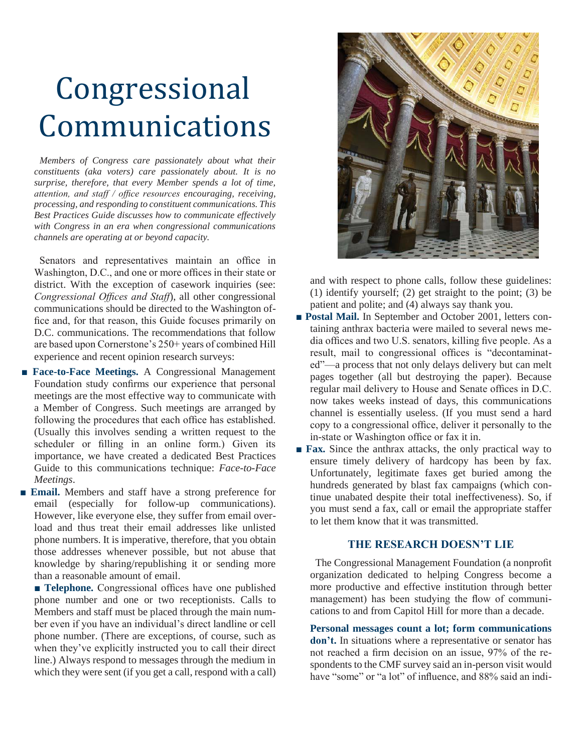## Congressional Communications

 *Members of Congress care passionately about what their constituents (aka voters) care passionately about. It is no surprise, therefore, that every Member spends a lot of time, attention, and staff / office resources encouraging, receiving, processing, and responding to constituent communications. This Best Practices Guide discusses how to communicate effectively with Congress in an era when congressional communications channels are operating at or beyond capacity.* 

Senators and representatives maintain an office in Washington, D.C., and one or more offices in their state or district. With the exception of casework inquiries (see: *Congressional Offices and Staff*), all other congressional communications should be directed to the Washington office and, for that reason, this Guide focuses primarily on D.C. communications. The recommendations that follow are based upon Cornerstone's 250+ years of combined Hill experience and recent opinion research surveys:

- **Face-to-Face Meetings.** A Congressional Management Foundation study confirms our experience that personal meetings are the most effective way to communicate with a Member of Congress. Such meetings are arranged by following the procedures that each office has established. (Usually this involves sending a written request to the scheduler or filling in an online form.) Given its importance, we have created a dedicated Best Practices Guide to this communications technique: *Face-to-Face Meetings*.
- **Email.** Members and staff have a strong preference for email (especially for follow-up communications). However, like everyone else, they suffer from email overload and thus treat their email addresses like unlisted phone numbers. It is imperative, therefore, that you obtain those addresses whenever possible, but not abuse that knowledge by sharing/republishing it or sending more than a reasonable amount of email.

■ **Telephone.** Congressional offices have one published phone number and one or two receptionists. Calls to Members and staff must be placed through the main number even if you have an individual's direct landline or cell phone number. (There are exceptions, of course, such as when they've explicitly instructed you to call their direct line.) Always respond to messages through the medium in which they were sent (if you get a call, respond with a call)



and with respect to phone calls, follow these guidelines: (1) identify yourself; (2) get straight to the point; (3) be patient and polite; and (4) always say thank you.

- **Postal Mail.** In September and October 2001, letters containing anthrax bacteria were mailed to several news media offices and two U.S. senators, killing five people. As a result, mail to congressional offices is "decontaminated"—a process that not only delays delivery but can melt pages together (all but destroying the paper). Because regular mail delivery to House and Senate offices in D.C. now takes weeks instead of days, this communications channel is essentially useless. (If you must send a hard copy to a congressional office, deliver it personally to the in-state or Washington office or fax it in.
- **Fax.** Since the anthrax attacks, the only practical way to ensure timely delivery of hardcopy has been by fax. Unfortunately, legitimate faxes get buried among the hundreds generated by blast fax campaigns (which continue unabated despite their total ineffectiveness). So, if you must send a fax, call or email the appropriate staffer to let them know that it was transmitted.

## **THE RESEARCH DOESN'T LIE**

 The Congressional Management Foundation (a nonprofit organization dedicated to helping Congress become a more productive and effective institution through better management) has been studying the flow of communications to and from Capitol Hill for more than a decade.

**Personal messages count a lot; form communications**  don't. In situations where a representative or senator has not reached a firm decision on an issue, 97% of the respondents to the CMF survey said an in-person visit would have "some" or "a lot" of influence, and 88% said an indi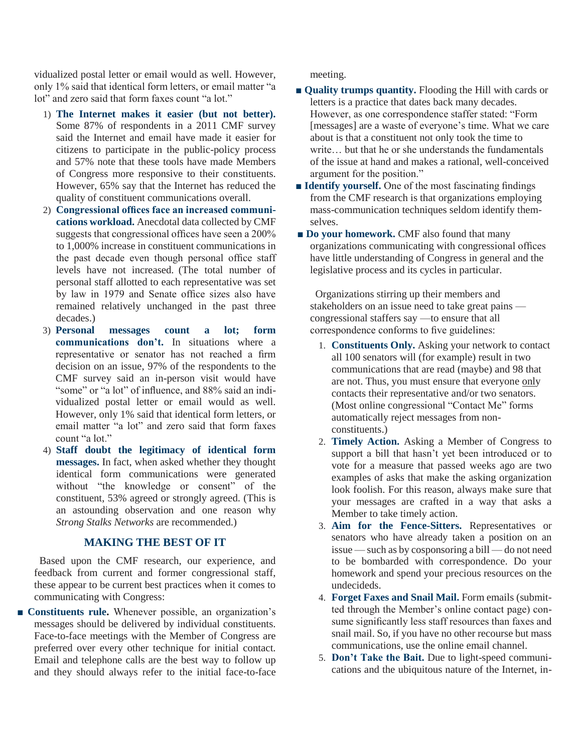vidualized postal letter or email would as well. However, only 1% said that identical form letters, or email matter "a lot" and zero said that form faxes count "a lot."

- 1) **The Internet makes it easier (but not better).**  Some 87% of respondents in a 2011 CMF survey said the Internet and email have made it easier for citizens to participate in the public-policy process and 57% note that these tools have made Members of Congress more responsive to their constituents. However, 65% say that the Internet has reduced the quality of constituent communications overall.
- 2) **Congressional offices face an increased communications workload.** Anecdotal data collected by CMF suggests that congressional offices have seen a 200% to 1,000% increase in constituent communications in the past decade even though personal office staff levels have not increased. (The total number of personal staff allotted to each representative was set by law in 1979 and Senate office sizes also have remained relatively unchanged in the past three decades.)
- 3) **Personal messages count a lot; form communications don't.** In situations where a representative or senator has not reached a firm decision on an issue, 97% of the respondents to the CMF survey said an in-person visit would have "some" or "a lot" of influence, and 88% said an individualized postal letter or email would as well. However, only 1% said that identical form letters, or email matter "a lot" and zero said that form faxes count "a lot."
- 4) **Staff doubt the legitimacy of identical form messages.** In fact, when asked whether they thought identical form communications were generated without "the knowledge or consent" of the constituent, 53% agreed or strongly agreed. (This is an astounding observation and one reason why *Strong Stalks Networks* are recommended.)

## **MAKING THE BEST OF IT**

 Based upon the CMF research, our experience, and feedback from current and former congressional staff, these appear to be current best practices when it comes to communicating with Congress:

■ **Constituents rule.** Whenever possible, an organization's messages should be delivered by individual constituents. Face-to-face meetings with the Member of Congress are preferred over every other technique for initial contact. Email and telephone calls are the best way to follow up and they should always refer to the initial face-to-face

meeting.

- **Quality trumps quantity.** Flooding the Hill with cards or letters is a practice that dates back many decades. However, as one correspondence staffer stated: "Form [messages] are a waste of everyone's time. What we care about is that a constituent not only took the time to write… but that he or she understands the fundamentals of the issue at hand and makes a rational, well-conceived argument for the position."
- **Identify yourself.** One of the most fascinating findings from the CMF research is that organizations employing mass-communication techniques seldom identify themselves.
- **Do your homework.** CMF also found that many organizations communicating with congressional offices have little understanding of Congress in general and the legislative process and its cycles in particular.

 Organizations stirring up their members and stakeholders on an issue need to take great pains congressional staffers say —to ensure that all correspondence conforms to five guidelines:

- 1. **Constituents Only.** Asking your network to contact all 100 senators will (for example) result in two communications that are read (maybe) and 98 that are not. Thus, you must ensure that everyone only contacts their representative and/or two senators. (Most online congressional "Contact Me" forms automatically reject messages from nonconstituents.)
- 2. **Timely Action.** Asking a Member of Congress to support a bill that hasn't yet been introduced or to vote for a measure that passed weeks ago are two examples of asks that make the asking organization look foolish. For this reason, always make sure that your messages are crafted in a way that asks a Member to take timely action.
- 3. **Aim for the Fence-Sitters.** Representatives or senators who have already taken a position on an issue — such as by cosponsoring a bill — do not need to be bombarded with correspondence. Do your homework and spend your precious resources on the undecideds.
- 4. **Forget Faxes and Snail Mail.** Form emails (submitted through the Member's online contact page) consume significantly less staff resources than faxes and snail mail. So, if you have no other recourse but mass communications, use the online email channel.
- 5. **Don't Take the Bait.** Due to light-speed communications and the ubiquitous nature of the Internet, in-